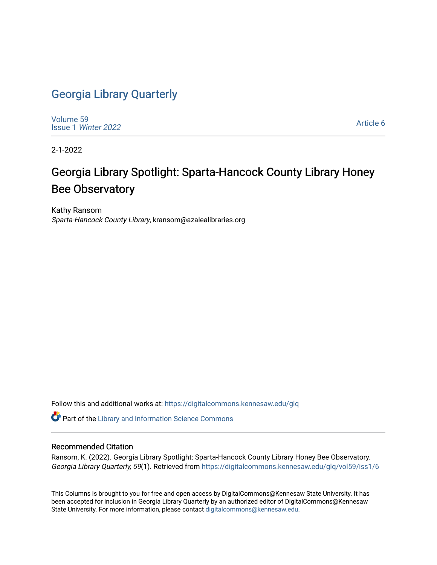## [Georgia Library Quarterly](https://digitalcommons.kennesaw.edu/glq)

[Volume 59](https://digitalcommons.kennesaw.edu/glq/vol59) Issue 1 [Winter 2022](https://digitalcommons.kennesaw.edu/glq/vol59/iss1) 

[Article 6](https://digitalcommons.kennesaw.edu/glq/vol59/iss1/6) 

2-1-2022

# Georgia Library Spotlight: Sparta-Hancock County Library Honey Bee Observatory

Kathy Ransom Sparta-Hancock County Library, kransom@azalealibraries.org

Follow this and additional works at: [https://digitalcommons.kennesaw.edu/glq](https://digitalcommons.kennesaw.edu/glq?utm_source=digitalcommons.kennesaw.edu%2Fglq%2Fvol59%2Fiss1%2F6&utm_medium=PDF&utm_campaign=PDFCoverPages) 

Part of the [Library and Information Science Commons](http://network.bepress.com/hgg/discipline/1018?utm_source=digitalcommons.kennesaw.edu%2Fglq%2Fvol59%2Fiss1%2F6&utm_medium=PDF&utm_campaign=PDFCoverPages) 

#### Recommended Citation

Ransom, K. (2022). Georgia Library Spotlight: Sparta-Hancock County Library Honey Bee Observatory. Georgia Library Quarterly, 59(1). Retrieved from [https://digitalcommons.kennesaw.edu/glq/vol59/iss1/6](https://digitalcommons.kennesaw.edu/glq/vol59/iss1/6?utm_source=digitalcommons.kennesaw.edu%2Fglq%2Fvol59%2Fiss1%2F6&utm_medium=PDF&utm_campaign=PDFCoverPages)

This Columns is brought to you for free and open access by DigitalCommons@Kennesaw State University. It has been accepted for inclusion in Georgia Library Quarterly by an authorized editor of DigitalCommons@Kennesaw State University. For more information, please contact [digitalcommons@kennesaw.edu.](mailto:digitalcommons@kennesaw.edu)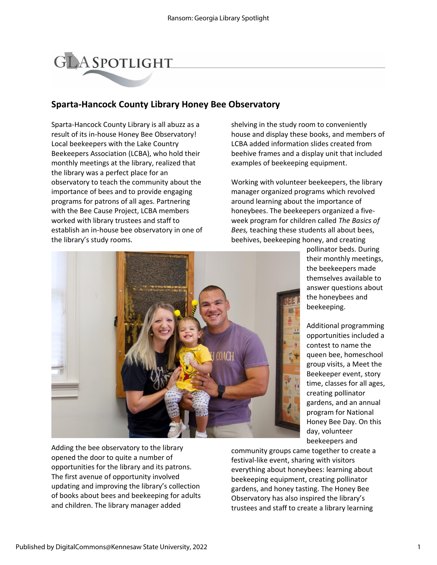# **GLASPOTLIGHT**

### **Sparta-Hancock County Library Honey Bee Observatory**

Sparta-Hancock County Library is all abuzz as a result of its in-house Honey Bee Observatory! Local beekeepers with the Lake Country Beekeepers Association (LCBA), who hold their monthly meetings at the library, realized that the library was a perfect place for an observatory to teach the community about the importance of bees and to provide engaging programs for patrons of all ages. Partnering with the Bee Cause Project, LCBA members worked with library trustees and staff to establish an in-house bee observatory in one of the library's study rooms.

shelving in the study room to conveniently house and display these books, and members of LCBA added information slides created from beehive frames and a display unit that included examples of beekeeping equipment.

Working with volunteer beekeepers, the library manager organized programs which revolved around learning about the importance of honeybees. The beekeepers organized a fiveweek program for children called *The Basics of Bees,* teaching these students all about bees, beehives, beekeeping honey, and creating



Adding the bee observatory to the library opened the door to quite a number of opportunities for the library and its patrons. The first avenue of opportunity involved updating and improving the library's collection of books about bees and beekeeping for adults and children. The library manager added

pollinator beds. During their monthly meetings, the beekeepers made themselves available to answer questions about the honeybees and beekeeping.

Additional programming opportunities included a contest to name the queen bee, homeschool group visits, a Meet the Beekeeper event, story time, classes for all ages, creating pollinator gardens, and an annual program for National Honey Bee Day. On this day, volunteer beekeepers and

community groups came together to create a festival-like event, sharing with visitors everything about honeybees: learning about beekeeping equipment, creating pollinator gardens, and honey tasting. The Honey Bee Observatory has also inspired the library's trustees and staff to create a library learning